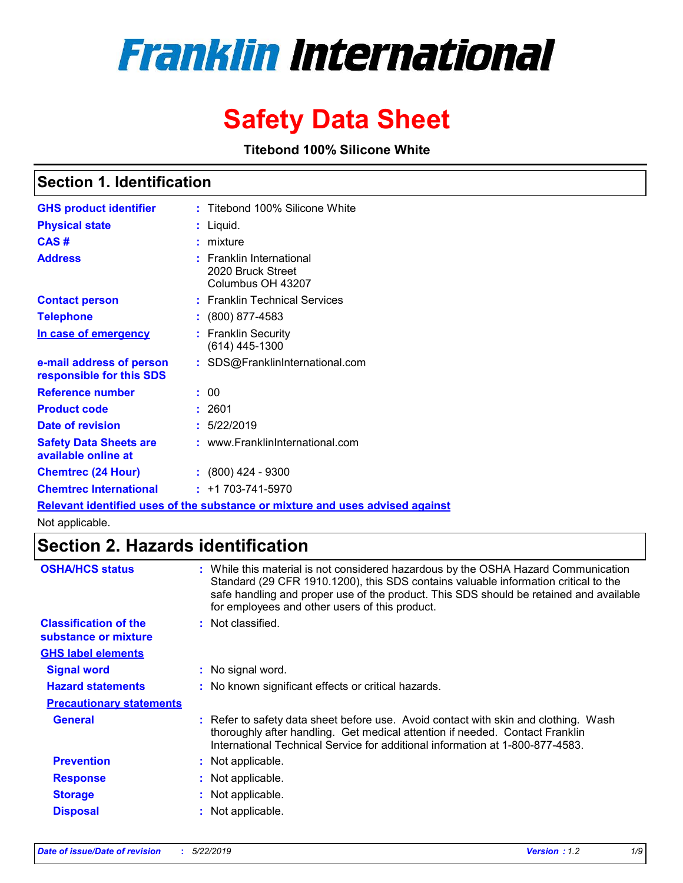# **Franklin International**

# **Safety Data Sheet**

**Titebond 100% Silicone White**

### **Section 1. Identification**

| <b>GHS product identifier</b>                        | : Titebond 100% Silicone White                                                                     |
|------------------------------------------------------|----------------------------------------------------------------------------------------------------|
| <b>Physical state</b>                                | Liquid.                                                                                            |
| CAS#                                                 | mixture                                                                                            |
| <b>Address</b>                                       | : Franklin International<br>2020 Bruck Street<br>Columbus OH 43207                                 |
| <b>Contact person</b>                                | : Franklin Technical Services                                                                      |
| <b>Telephone</b>                                     | $: (800) 877 - 4583$                                                                               |
| In case of emergency                                 | <b>Franklin Security</b><br>(614) 445-1300                                                         |
| e-mail address of person<br>responsible for this SDS | : SDS@FranklinInternational.com                                                                    |
| <b>Reference number</b>                              | : 00                                                                                               |
| <b>Product code</b>                                  | : 2601                                                                                             |
| Date of revision                                     | : 5/22/2019                                                                                        |
| <b>Safety Data Sheets are</b><br>available online at | : www.FranklinInternational.com                                                                    |
| <b>Chemtrec (24 Hour)</b>                            | $\div$ (800) 424 - 9300                                                                            |
| <b>Chemtrec International</b>                        | $: +1703 - 741 - 5970$                                                                             |
|                                                      | Final account toleratifical connect of the completion are an indicated and connect a distinguished |

**Relevant identified uses of the substance or mixture and uses advised against** Not applicable.

### **Section 2. Hazards identification**

| <b>OSHA/HCS status</b>                               | : While this material is not considered hazardous by the OSHA Hazard Communication<br>Standard (29 CFR 1910.1200), this SDS contains valuable information critical to the<br>safe handling and proper use of the product. This SDS should be retained and available<br>for employees and other users of this product. |
|------------------------------------------------------|-----------------------------------------------------------------------------------------------------------------------------------------------------------------------------------------------------------------------------------------------------------------------------------------------------------------------|
| <b>Classification of the</b><br>substance or mixture | : Not classified.                                                                                                                                                                                                                                                                                                     |
| <b>GHS label elements</b>                            |                                                                                                                                                                                                                                                                                                                       |
| <b>Signal word</b>                                   | : No signal word.                                                                                                                                                                                                                                                                                                     |
| <b>Hazard statements</b>                             | : No known significant effects or critical hazards.                                                                                                                                                                                                                                                                   |
| <b>Precautionary statements</b>                      |                                                                                                                                                                                                                                                                                                                       |
| <b>General</b>                                       | : Refer to safety data sheet before use. Avoid contact with skin and clothing. Wash<br>thoroughly after handling. Get medical attention if needed. Contact Franklin<br>International Technical Service for additional information at 1-800-877-4583.                                                                  |
| <b>Prevention</b>                                    | : Not applicable.                                                                                                                                                                                                                                                                                                     |
| <b>Response</b>                                      | : Not applicable.                                                                                                                                                                                                                                                                                                     |
| <b>Storage</b>                                       | : Not applicable.                                                                                                                                                                                                                                                                                                     |
| <b>Disposal</b>                                      | : Not applicable.                                                                                                                                                                                                                                                                                                     |
|                                                      |                                                                                                                                                                                                                                                                                                                       |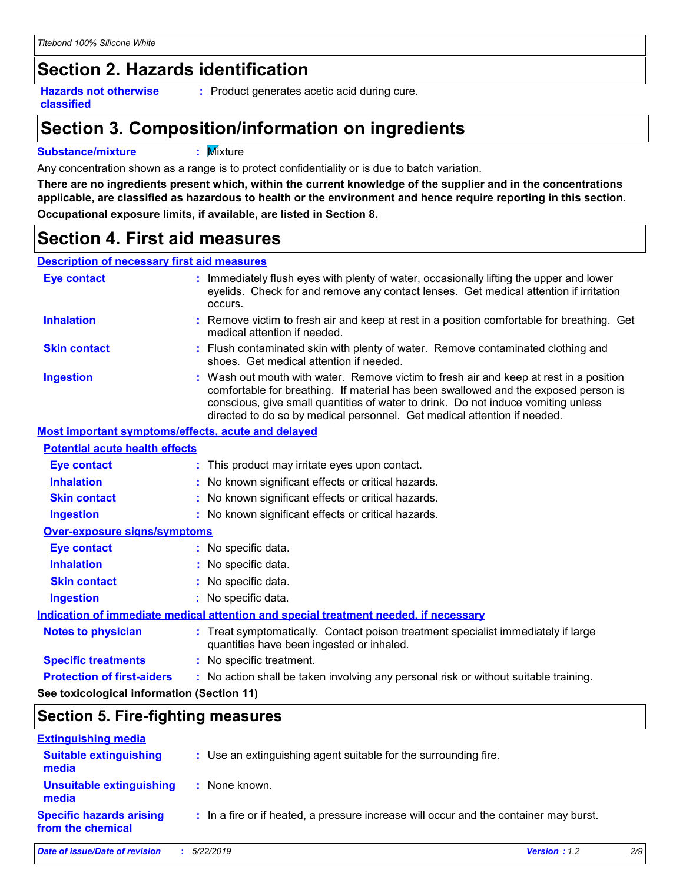# **Section 2. Hazards identification**

**Hazards not otherwise classified**

**:** Product generates acetic acid during cure.

# **Section 3. Composition/information on ingredients**

### **Substance/mixture :** Mixture

Any concentration shown as a range is to protect confidentiality or is due to batch variation.

**There are no ingredients present which, within the current knowledge of the supplier and in the concentrations applicable, are classified as hazardous to health or the environment and hence require reporting in this section. Occupational exposure limits, if available, are listed in Section 8.**

# **Section 4. First aid measures**

#### **Description of necessary first aid measures**

| <b>Eye contact</b>                                 | : Immediately flush eyes with plenty of water, occasionally lifting the upper and lower<br>eyelids. Check for and remove any contact lenses. Get medical attention if irritation<br>occurs.                                                                                                                                                    |
|----------------------------------------------------|------------------------------------------------------------------------------------------------------------------------------------------------------------------------------------------------------------------------------------------------------------------------------------------------------------------------------------------------|
| <b>Inhalation</b>                                  | : Remove victim to fresh air and keep at rest in a position comfortable for breathing. Get<br>medical attention if needed.                                                                                                                                                                                                                     |
| <b>Skin contact</b>                                | : Flush contaminated skin with plenty of water. Remove contaminated clothing and<br>shoes. Get medical attention if needed.                                                                                                                                                                                                                    |
| <b>Ingestion</b>                                   | : Wash out mouth with water. Remove victim to fresh air and keep at rest in a position<br>comfortable for breathing. If material has been swallowed and the exposed person is<br>conscious, give small quantities of water to drink. Do not induce vomiting unless<br>directed to do so by medical personnel. Get medical attention if needed. |
| Most important symptoms/effects, acute and delayed |                                                                                                                                                                                                                                                                                                                                                |
| <b>Potential acute health effects</b>              |                                                                                                                                                                                                                                                                                                                                                |
| <b>Eye contact</b>                                 | : This product may irritate eyes upon contact.                                                                                                                                                                                                                                                                                                 |
| <b>Inhalation</b>                                  | : No known significant effects or critical hazards.                                                                                                                                                                                                                                                                                            |
| <b>Skin contact</b>                                | : No known significant effects or critical hazards.                                                                                                                                                                                                                                                                                            |
| <b>Ingestion</b>                                   | : No known significant effects or critical hazards.                                                                                                                                                                                                                                                                                            |
| Over-exposure signs/symptoms                       |                                                                                                                                                                                                                                                                                                                                                |
| <b>Eye contact</b>                                 | : No specific data.                                                                                                                                                                                                                                                                                                                            |
| <b>Inhalation</b>                                  | : No specific data.                                                                                                                                                                                                                                                                                                                            |
| <b>Skin contact</b>                                | : No specific data.                                                                                                                                                                                                                                                                                                                            |
| <b>Ingestion</b>                                   | : No specific data.                                                                                                                                                                                                                                                                                                                            |
|                                                    | Indication of immediate medical attention and special treatment needed, if necessary                                                                                                                                                                                                                                                           |
| <b>Notes to physician</b>                          | : Treat symptomatically. Contact poison treatment specialist immediately if large<br>quantities have been ingested or inhaled.                                                                                                                                                                                                                 |
| <b>Specific treatments</b>                         | : No specific treatment.                                                                                                                                                                                                                                                                                                                       |
| <b>Protection of first-aiders</b>                  | : No action shall be taken involving any personal risk or without suitable training.                                                                                                                                                                                                                                                           |
| See toxicological information (Section 11)         |                                                                                                                                                                                                                                                                                                                                                |

# **Section 5. Fire-fighting measures**

| <b>Extinguishing media</b>                           |                                                                                       |              |     |
|------------------------------------------------------|---------------------------------------------------------------------------------------|--------------|-----|
| <b>Suitable extinguishing</b><br>media               | : Use an extinguishing agent suitable for the surrounding fire.                       |              |     |
| <b>Unsuitable extinguishing</b><br>media             | : None known.                                                                         |              |     |
| <b>Specific hazards arising</b><br>from the chemical | : In a fire or if heated, a pressure increase will occur and the container may burst. |              |     |
| Date of issue/Date of revision                       | 5/22/2019                                                                             | Version: 1.2 | 2/9 |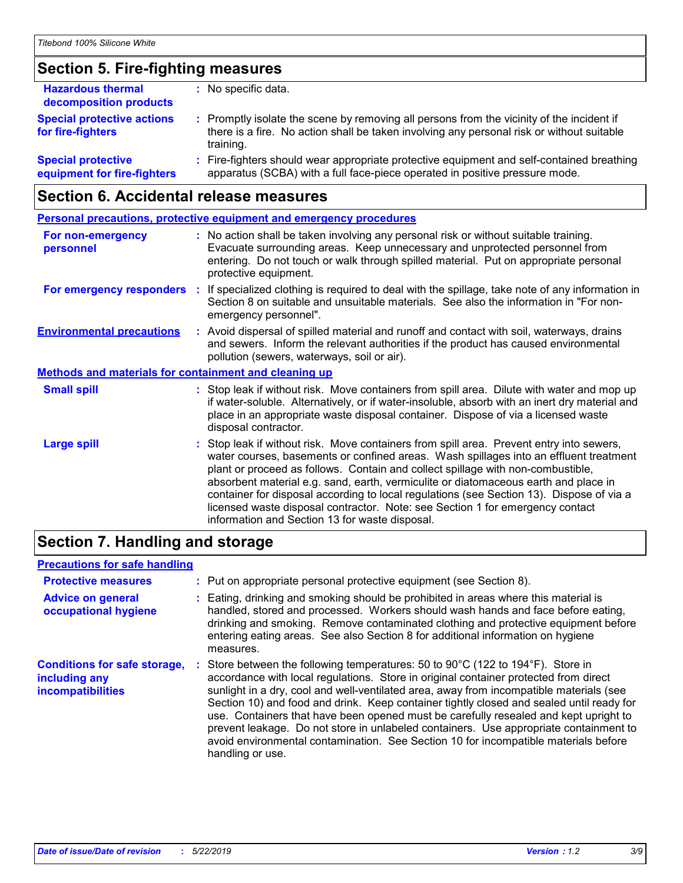### **Section 5. Fire-fighting measures**

| <b>Hazardous thermal</b><br>decomposition products       | : No specific data.                                                                                                                                                                                 |
|----------------------------------------------------------|-----------------------------------------------------------------------------------------------------------------------------------------------------------------------------------------------------|
| <b>Special protective actions</b><br>for fire-fighters   | : Promptly isolate the scene by removing all persons from the vicinity of the incident if<br>there is a fire. No action shall be taken involving any personal risk or without suitable<br>training. |
| <b>Special protective</b><br>equipment for fire-fighters | : Fire-fighters should wear appropriate protective equipment and self-contained breathing<br>apparatus (SCBA) with a full face-piece operated in positive pressure mode.                            |

### **Section 6. Accidental release measures**

|                                                              | <b>Personal precautions, protective equipment and emergency procedures</b>                                                                                                                                                                                                                                                                                                                                                                                                                                                                                                                 |  |
|--------------------------------------------------------------|--------------------------------------------------------------------------------------------------------------------------------------------------------------------------------------------------------------------------------------------------------------------------------------------------------------------------------------------------------------------------------------------------------------------------------------------------------------------------------------------------------------------------------------------------------------------------------------------|--|
| For non-emergency<br>personnel                               | : No action shall be taken involving any personal risk or without suitable training.<br>Evacuate surrounding areas. Keep unnecessary and unprotected personnel from<br>entering. Do not touch or walk through spilled material. Put on appropriate personal<br>protective equipment.                                                                                                                                                                                                                                                                                                       |  |
|                                                              | For emergency responders : If specialized clothing is required to deal with the spillage, take note of any information in<br>Section 8 on suitable and unsuitable materials. See also the information in "For non-<br>emergency personnel".                                                                                                                                                                                                                                                                                                                                                |  |
| <b>Environmental precautions</b>                             | : Avoid dispersal of spilled material and runoff and contact with soil, waterways, drains<br>and sewers. Inform the relevant authorities if the product has caused environmental<br>pollution (sewers, waterways, soil or air).                                                                                                                                                                                                                                                                                                                                                            |  |
| <b>Methods and materials for containment and cleaning up</b> |                                                                                                                                                                                                                                                                                                                                                                                                                                                                                                                                                                                            |  |
| <b>Small spill</b>                                           | : Stop leak if without risk. Move containers from spill area. Dilute with water and mop up<br>if water-soluble. Alternatively, or if water-insoluble, absorb with an inert dry material and<br>place in an appropriate waste disposal container. Dispose of via a licensed waste<br>disposal contractor.                                                                                                                                                                                                                                                                                   |  |
| <b>Large spill</b>                                           | : Stop leak if without risk. Move containers from spill area. Prevent entry into sewers,<br>water courses, basements or confined areas. Wash spillages into an effluent treatment<br>plant or proceed as follows. Contain and collect spillage with non-combustible,<br>absorbent material e.g. sand, earth, vermiculite or diatomaceous earth and place in<br>container for disposal according to local regulations (see Section 13). Dispose of via a<br>licensed waste disposal contractor. Note: see Section 1 for emergency contact<br>information and Section 13 for waste disposal. |  |

# **Section 7. Handling and storage**

### **Precautions for safe handling**

| <b>Protective measures</b><br><b>Advice on general</b><br>occupational hygiene   | : Put on appropriate personal protective equipment (see Section 8).<br>: Eating, drinking and smoking should be prohibited in areas where this material is<br>handled, stored and processed. Workers should wash hands and face before eating,<br>drinking and smoking. Remove contaminated clothing and protective equipment before<br>entering eating areas. See also Section 8 for additional information on hygiene<br>measures.                                                                                                                                                                                                                                          |
|----------------------------------------------------------------------------------|-------------------------------------------------------------------------------------------------------------------------------------------------------------------------------------------------------------------------------------------------------------------------------------------------------------------------------------------------------------------------------------------------------------------------------------------------------------------------------------------------------------------------------------------------------------------------------------------------------------------------------------------------------------------------------|
| <b>Conditions for safe storage,</b><br>including any<br><b>incompatibilities</b> | Store between the following temperatures: 50 to $90^{\circ}$ C (122 to 194 $^{\circ}$ F). Store in<br>accordance with local regulations. Store in original container protected from direct<br>sunlight in a dry, cool and well-ventilated area, away from incompatible materials (see<br>Section 10) and food and drink. Keep container tightly closed and sealed until ready for<br>use. Containers that have been opened must be carefully resealed and kept upright to<br>prevent leakage. Do not store in unlabeled containers. Use appropriate containment to<br>avoid environmental contamination. See Section 10 for incompatible materials before<br>handling or use. |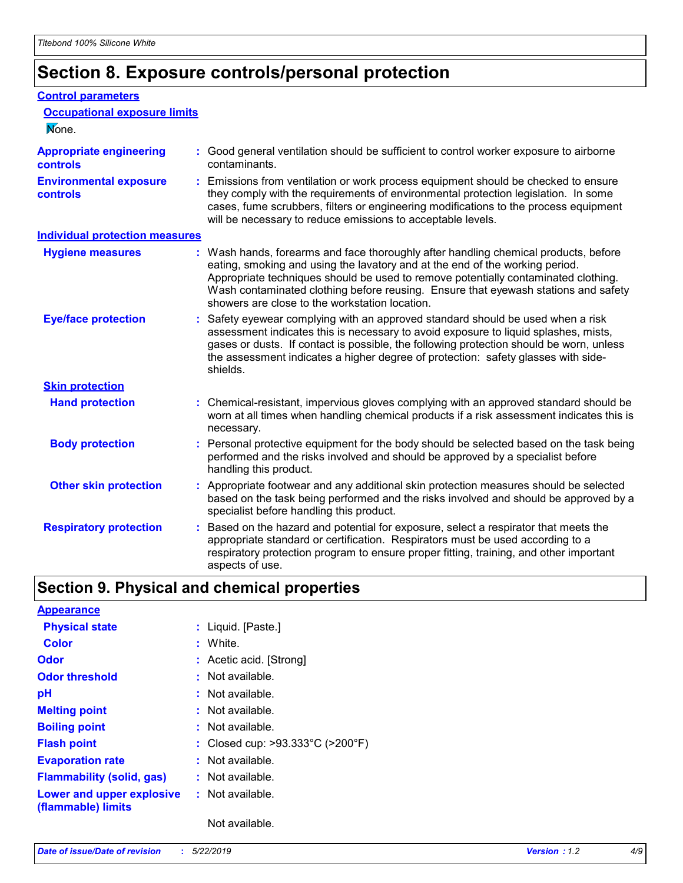# **Section 8. Exposure controls/personal protection**

#### **Control parameters**

| <b>Occupational exposure limits</b><br>None.      |                                                                                                                                                                                                                                                                                                                                                                                                   |
|---------------------------------------------------|---------------------------------------------------------------------------------------------------------------------------------------------------------------------------------------------------------------------------------------------------------------------------------------------------------------------------------------------------------------------------------------------------|
| <b>Appropriate engineering</b><br><b>controls</b> | : Good general ventilation should be sufficient to control worker exposure to airborne<br>contaminants.                                                                                                                                                                                                                                                                                           |
| <b>Environmental exposure</b><br><b>controls</b>  | : Emissions from ventilation or work process equipment should be checked to ensure<br>they comply with the requirements of environmental protection legislation. In some<br>cases, fume scrubbers, filters or engineering modifications to the process equipment<br>will be necessary to reduce emissions to acceptable levels.                                                                   |
| <b>Individual protection measures</b>             |                                                                                                                                                                                                                                                                                                                                                                                                   |
| <b>Hygiene measures</b>                           | : Wash hands, forearms and face thoroughly after handling chemical products, before<br>eating, smoking and using the lavatory and at the end of the working period.<br>Appropriate techniques should be used to remove potentially contaminated clothing.<br>Wash contaminated clothing before reusing. Ensure that eyewash stations and safety<br>showers are close to the workstation location. |
| <b>Eye/face protection</b>                        | : Safety eyewear complying with an approved standard should be used when a risk<br>assessment indicates this is necessary to avoid exposure to liquid splashes, mists,<br>gases or dusts. If contact is possible, the following protection should be worn, unless<br>the assessment indicates a higher degree of protection: safety glasses with side-<br>shields.                                |
| <b>Skin protection</b>                            |                                                                                                                                                                                                                                                                                                                                                                                                   |
| <b>Hand protection</b>                            | : Chemical-resistant, impervious gloves complying with an approved standard should be<br>worn at all times when handling chemical products if a risk assessment indicates this is<br>necessary.                                                                                                                                                                                                   |
| <b>Body protection</b>                            | : Personal protective equipment for the body should be selected based on the task being<br>performed and the risks involved and should be approved by a specialist before<br>handling this product.                                                                                                                                                                                               |
| <b>Other skin protection</b>                      | : Appropriate footwear and any additional skin protection measures should be selected<br>based on the task being performed and the risks involved and should be approved by a<br>specialist before handling this product.                                                                                                                                                                         |
| <b>Respiratory protection</b>                     | : Based on the hazard and potential for exposure, select a respirator that meets the<br>appropriate standard or certification. Respirators must be used according to a<br>respiratory protection program to ensure proper fitting, training, and other important<br>aspects of use.                                                                                                               |

# **Section 9. Physical and chemical properties**

| <b>Appearance</b>                               |                                                       |
|-------------------------------------------------|-------------------------------------------------------|
| <b>Physical state</b>                           | : Liquid. [Paste.]                                    |
| <b>Color</b>                                    | : White.                                              |
| Odor                                            | : Acetic acid. [Strong]                               |
| <b>Odor threshold</b>                           | : Not available.                                      |
| рH                                              | $:$ Not available.                                    |
| <b>Melting point</b>                            | : Not available.                                      |
| <b>Boiling point</b>                            | : Not available.                                      |
| <b>Flash point</b>                              | : Closed cup: $>93.333^{\circ}$ C ( $>200^{\circ}$ F) |
| <b>Evaporation rate</b>                         | : Not available.                                      |
| <b>Flammability (solid, gas)</b>                | : Not available.                                      |
| Lower and upper explosive<br>(flammable) limits | : Not available.                                      |
|                                                 | Not available.                                        |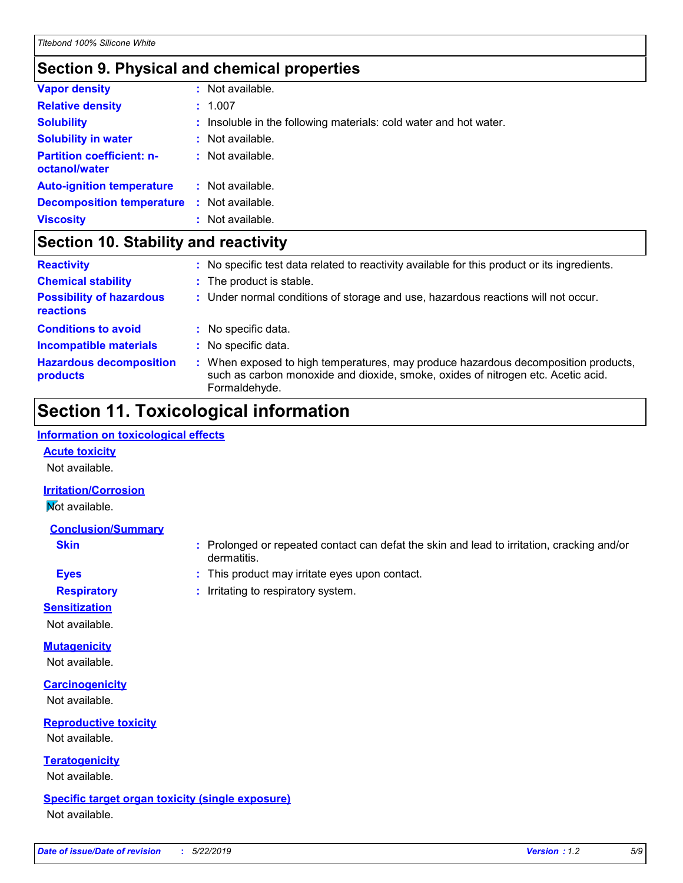### **Section 9. Physical and chemical properties**

| Not available.                                                    |
|-------------------------------------------------------------------|
| : Not available.                                                  |
| $:$ Not available.                                                |
| : Not available.                                                  |
| : Not available.                                                  |
| : Insoluble in the following materials: cold water and hot water. |
| : 1.007                                                           |
| Not available.                                                    |
| <b>Decomposition temperature</b>                                  |

### **Section 10. Stability and reactivity**

| <b>Reactivity</b>                                   | : No specific test data related to reactivity available for this product or its ingredients.                                                                                            |
|-----------------------------------------------------|-----------------------------------------------------------------------------------------------------------------------------------------------------------------------------------------|
| <b>Chemical stability</b>                           | : The product is stable.                                                                                                                                                                |
| <b>Possibility of hazardous</b><br><b>reactions</b> | : Under normal conditions of storage and use, hazardous reactions will not occur.                                                                                                       |
| <b>Conditions to avoid</b>                          | : No specific data.                                                                                                                                                                     |
| <b>Incompatible materials</b>                       | : No specific data.                                                                                                                                                                     |
| <b>Hazardous decomposition</b><br>products          | : When exposed to high temperatures, may produce hazardous decomposition products,<br>such as carbon monoxide and dioxide, smoke, oxides of nitrogen etc. Acetic acid.<br>Formaldehyde. |

# **Section 11. Toxicological information**

#### **Information on toxicological effects**

#### **Acute toxicity**

Not available.

### **Irritation/Corrosion**

**Not available.** 

#### **Conclusion/Summary**

- **Skin :** Prolonged or repeated contact can defat the skin and lead to irritation, cracking and/or dermatitis.
- **Eyes :** This product may irritate eyes upon contact.

**Respiratory :** Irritating to respiratory system.

### **Sensitization**

Not available.

#### **Mutagenicity**

Not available.

#### **Carcinogenicity**

Not available.

### **Reproductive toxicity** Not available.

**Teratogenicity**

Not available.

### **Specific target organ toxicity (single exposure)**

Not available.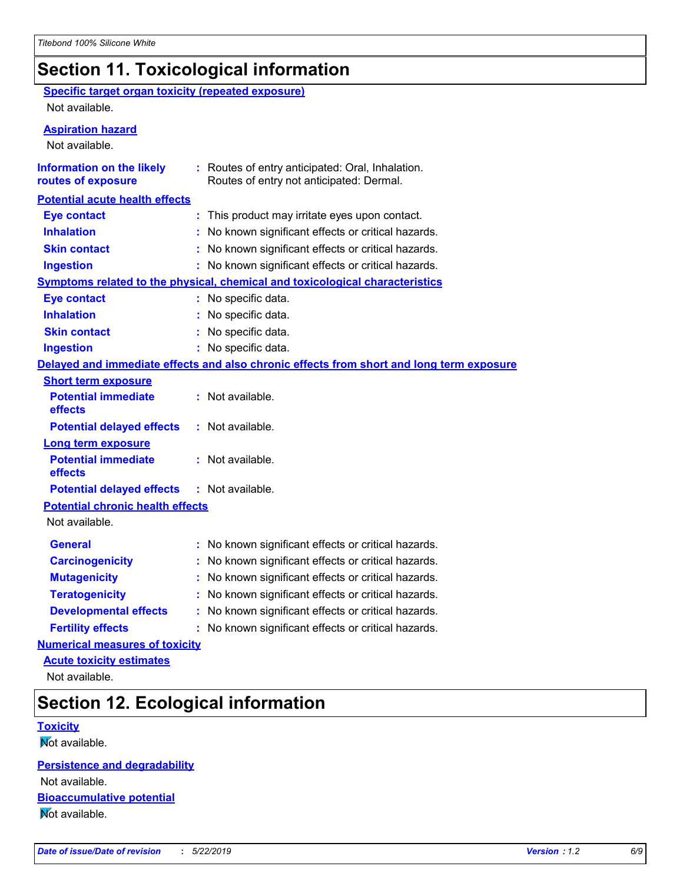# **Section 11. Toxicological information**

### **Specific target organ toxicity (repeated exposure)**

Not available.

### **Aspiration hazard**

Not available.

| <b>Information on the likely</b><br>routes of exposure                       | : Routes of entry anticipated: Oral, Inhalation.<br>Routes of entry not anticipated: Dermal. |  |  |  |
|------------------------------------------------------------------------------|----------------------------------------------------------------------------------------------|--|--|--|
| <b>Potential acute health effects</b>                                        |                                                                                              |  |  |  |
| <b>Eye contact</b>                                                           | : This product may irritate eyes upon contact.                                               |  |  |  |
| <b>Inhalation</b>                                                            | No known significant effects or critical hazards.                                            |  |  |  |
| <b>Skin contact</b>                                                          | No known significant effects or critical hazards.                                            |  |  |  |
| <b>Ingestion</b>                                                             | No known significant effects or critical hazards.                                            |  |  |  |
| Symptoms related to the physical, chemical and toxicological characteristics |                                                                                              |  |  |  |
| <b>Eye contact</b>                                                           | No specific data.                                                                            |  |  |  |
| <b>Inhalation</b>                                                            | No specific data.                                                                            |  |  |  |
| <b>Skin contact</b>                                                          | No specific data.                                                                            |  |  |  |
| <b>Ingestion</b>                                                             | : No specific data.                                                                          |  |  |  |
|                                                                              | Delayed and immediate effects and also chronic effects from short and long term exposure     |  |  |  |
| <b>Short term exposure</b>                                                   |                                                                                              |  |  |  |
| <b>Potential immediate</b><br>effects                                        | : Not available.                                                                             |  |  |  |
| <b>Potential delayed effects</b>                                             | : Not available.                                                                             |  |  |  |
| <b>Long term exposure</b>                                                    |                                                                                              |  |  |  |
| <b>Potential immediate</b><br>effects                                        | : Not available.                                                                             |  |  |  |
| <b>Potential delayed effects</b>                                             | : Not available.                                                                             |  |  |  |
| <b>Potential chronic health effects</b>                                      |                                                                                              |  |  |  |
| Not available.                                                               |                                                                                              |  |  |  |
| <b>General</b>                                                               | No known significant effects or critical hazards.                                            |  |  |  |
| <b>Carcinogenicity</b>                                                       | No known significant effects or critical hazards.                                            |  |  |  |
| <b>Mutagenicity</b>                                                          | No known significant effects or critical hazards.                                            |  |  |  |
| <b>Teratogenicity</b>                                                        | No known significant effects or critical hazards.                                            |  |  |  |
| <b>Developmental effects</b>                                                 | No known significant effects or critical hazards.                                            |  |  |  |
| <b>Fertility effects</b>                                                     | No known significant effects or critical hazards.                                            |  |  |  |
| <b>Numerical measures of toxicity</b>                                        |                                                                                              |  |  |  |

**Acute toxicity estimates**

Not available.

# **Section 12. Ecological information**

### **Toxicity**

Not available.

**Persistence and degradability** Not available.

**Bioaccumulative potential**

**Not available.**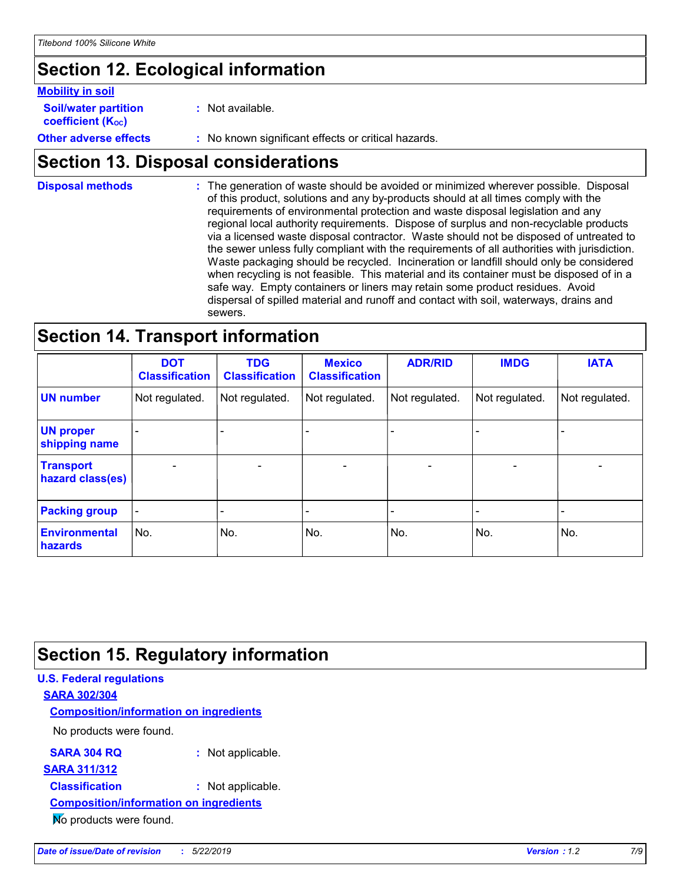# **Section 12. Ecological information**

#### **Mobility in soil**

| <b>Soil/water partition</b> | Not available. |
|-----------------------------|----------------|
|-----------------------------|----------------|

**coefficient (KOC)**

**Other adverse effects** : No known significant effects or critical hazards.

### **Section 13. Disposal considerations**

The generation of waste should be avoided or minimized wherever possible. Disposal of this product, solutions and any by-products should at all times comply with the requirements of environmental protection and waste disposal legislation and any regional local authority requirements. Dispose of surplus and non-recyclable products via a licensed waste disposal contractor. Waste should not be disposed of untreated to the sewer unless fully compliant with the requirements of all authorities with jurisdiction. Waste packaging should be recycled. Incineration or landfill should only be considered when recycling is not feasible. This material and its container must be disposed of in a safe way. Empty containers or liners may retain some product residues. Avoid dispersal of spilled material and runoff and contact with soil, waterways, drains and sewers. **Disposal methods :**

### **Section 14. Transport information**

|                                        | <b>DOT</b><br><b>Classification</b> | <b>TDG</b><br><b>Classification</b> | <b>Mexico</b><br><b>Classification</b> | <b>ADR/RID</b>           | <b>IMDG</b>              | <b>IATA</b>              |
|----------------------------------------|-------------------------------------|-------------------------------------|----------------------------------------|--------------------------|--------------------------|--------------------------|
| <b>UN number</b>                       | Not regulated.                      | Not regulated.                      | Not regulated.                         | Not regulated.           | Not regulated.           | Not regulated.           |
| <b>UN proper</b><br>shipping name      |                                     |                                     |                                        |                          |                          |                          |
| <b>Transport</b><br>hazard class(es)   |                                     | $\overline{\phantom{0}}$            | $\overline{\phantom{a}}$               | $\overline{\phantom{a}}$ | $\overline{\phantom{a}}$ | $\overline{\phantom{0}}$ |
| <b>Packing group</b>                   |                                     |                                     |                                        |                          |                          | $\overline{\phantom{0}}$ |
| <b>Environmental</b><br><b>hazards</b> | No.                                 | No.                                 | No.                                    | No.                      | No.                      | No.                      |

# **Section 15. Regulatory information**

### **U.S. Federal regulations SARA 302/304 SARA 304 RQ :** Not applicable. No products were found. **Composition/information on ingredients SARA 311/312 Classification :** Not applicable. **Composition/information on ingredients**

No products were found.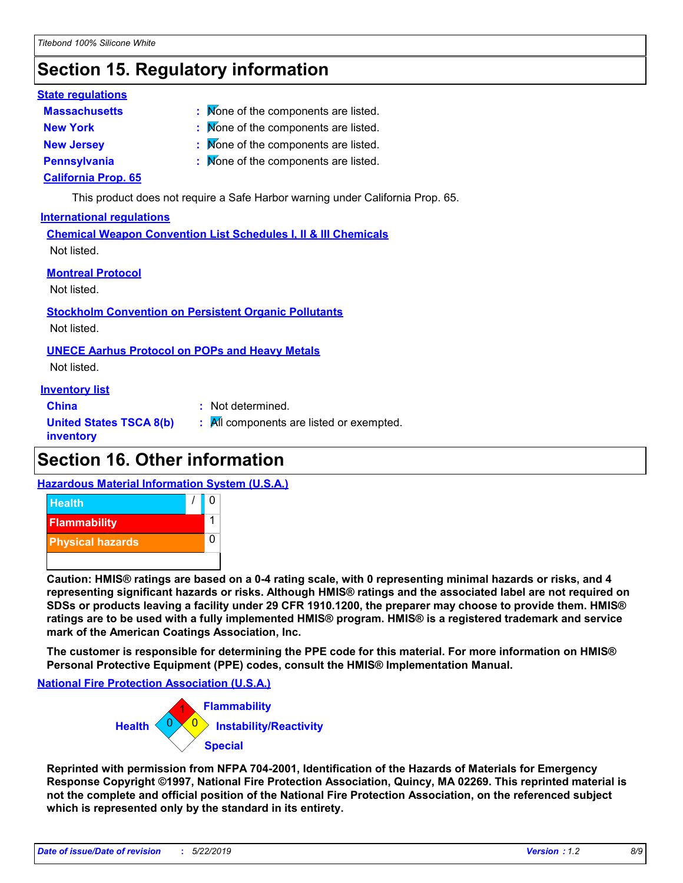# **Section 15. Regulatory information**

#### **State regulations**

- **Massachusetts :**
- : Mone of the components are listed.
- 
- **New York :** None of the components are listed.
- **New Jersey 19th Components are listed. None of the components are listed.**
- **Pennsylvania :** None of the components are listed.

### **California Prop. 65**

This product does not require a Safe Harbor warning under California Prop. 65.

#### **International regulations**

**Chemical Weapon Convention List Schedules I, II & III Chemicals** Not listed.

### **Montreal Protocol**

Not listed.

# **Stockholm Convention on Persistent Organic Pollutants**

Not listed.

### **UNECE Aarhus Protocol on POPs and Heavy Metals**

Not listed.

### **Inventory list**

**China :** Not determined.

**United States TSCA 8(b)**

**:** All components are listed or exempted.

**inventory**

# **Section 16. Other information**

### **Hazardous Material Information System (U.S.A.)**



**Caution: HMIS® ratings are based on a 0-4 rating scale, with 0 representing minimal hazards or risks, and 4 representing significant hazards or risks. Although HMIS® ratings and the associated label are not required on SDSs or products leaving a facility under 29 CFR 1910.1200, the preparer may choose to provide them. HMIS® ratings are to be used with a fully implemented HMIS® program. HMIS® is a registered trademark and service mark of the American Coatings Association, Inc.**

**The customer is responsible for determining the PPE code for this material. For more information on HMIS® Personal Protective Equipment (PPE) codes, consult the HMIS® Implementation Manual.**

**National Fire Protection Association (U.S.A.)**

0 0 **Instability/Reactivity** 1 **Flammability Health Special**

**Reprinted with permission from NFPA 704-2001, Identification of the Hazards of Materials for Emergency Response Copyright ©1997, National Fire Protection Association, Quincy, MA 02269. This reprinted material is not the complete and official position of the National Fire Protection Association, on the referenced subject which is represented only by the standard in its entirety.**